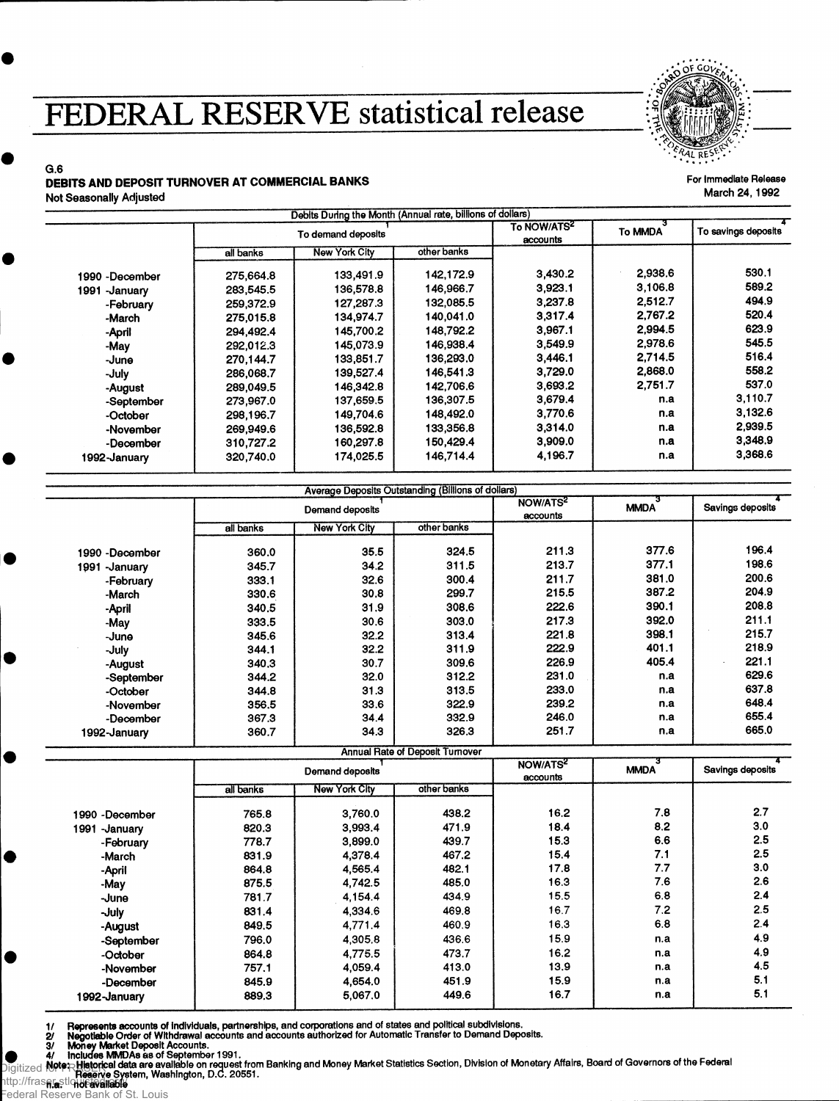## **FEDERAL RESERVE statistical release**



## G.6 **DEBITS AND DEPOSIT TURNOVER AT COMMERCIAL BANKS<br>Not Sessensily Adjusted March 24, 1992** Not Seasonally Adjusted

 $\bullet$ 

|                | To demand deposits |                      |             | To NOW/ATS <sup>2</sup><br>accounts | To MMDA | To savings deposits |
|----------------|--------------------|----------------------|-------------|-------------------------------------|---------|---------------------|
|                | all banks          | <b>New York City</b> | other banks |                                     |         |                     |
| 1990 -December | 275,664.8          | 133,491.9            | 142.172.9   | 3.430.2                             | 2.938.6 | 530.1               |
| 1991 - January | 283,545.5          | 136,578.8            | 146.966.7   | 3.923.1                             | 3,106.8 | 589.2               |
| -February      | 259,372.9          | 127,287.3            | 132,085.5   | 3,237.8                             | 2,512.7 | 494.9               |
| -March         | 275,015.8          | 134,974.7            | 140,041.0   | 3.317.4                             | 2.767.2 | 520.4               |
| -April         | 294.492.4          | 145,700.2            | 148,792.2   | 3.967.1                             | 2.994.5 | 623.9               |
| -May           | 292,012.3          | 145,073.9            | 146.938.4   | 3.549.9                             | 2.978.6 | 545.5               |
| -June          | 270.144.7          | 133,851.7            | 136.293.0   | 3,446.1                             | 2.714.5 | 516.4               |
| -July          | 286,068.7          | 139,527.4            | 146,541.3   | 3,729.0                             | 2,868.0 | 558.2               |
| -August        | 289,049.5          | 146,342.8            | 142,706.6   | 3,693.2                             | 2,751.7 | 537.0               |
| -September     | 273,967.0          | 137,659.5            | 136,307.5   | 3,679.4                             | n.a     | 3,110.7             |
| -October       | 298,196.7          | 149.704.6            | 148.492.0   | 3,770.6                             | n.a     | 3,132.6             |
| -November      | 269,949.6          | 136,592.8            | 133,356.8   | 3,314.0                             | n.a     | 2.939.5             |
| -December      | 310,727.2          | 160,297.8            | 150,429.4   | 3,909.0                             | n.a     | 3,348.9             |
| 1992-January   | 320,740.0          | 174.025.5            | 146,714.4   | 4,196.7                             | n.a     | 3,368.6             |

|                 | Demand deposits |                      |             | NOW/ATS <sup>2</sup><br>accounts | <b>MMDA</b> | Savings deposits |
|-----------------|-----------------|----------------------|-------------|----------------------------------|-------------|------------------|
|                 | all banks       | <b>New York City</b> | other banks |                                  |             |                  |
| 1990 - December | 360,0           | 35.5                 | 324.5       | 211.3                            | 377.6       | 196.4            |
| 1991 - January  | 345.7           | 34.2                 | 311.5       | 213.7                            | 377.1       | 198.6            |
| -February       | 333.1           | 32.6                 | 300.4       | 211.7                            | 381.0       | 200.6            |
| -March          | 330.6           | 30.8                 | 299.7       | 215.5                            | 387.2       | 204.9            |
| -April          | 340.5           | 31.9                 | 308.6       | 222.6                            | 390.1       | 208.8            |
| -May            | 333.5           | 30.6                 | 303.0       | 217.3                            | 392.0       | 211.1            |
| -June           | 345.6           | 32.2                 | 313.4       | 221.8                            | 398.1       | 215.7            |
| -July           | 344.1           | 32.2                 | 311.9       | 222.9                            | 401.1       | 218.9            |
| -August         | 340.3           | 30.7                 | 309.6       | 226.9                            | 405.4       | 221.1            |
| -September      | 344.2           | 32.0                 | 312.2       | 231.0                            | n.a         | 629.6            |
| -October        | 344.8           | 31.3                 | 313.5       | 233.0                            | n.a         | 637.8            |
| -November       | 356.5           | 33.6                 | 322.9       | 239.2                            | n.a         | 648.4            |
| -December       | 367.3           | 34.4                 | 332.9       | 246.0                            | n.a         | 655.4            |
| 1992-January    | 360.7           | 34.3                 | 326.3       | 251.7                            | n.a         | 665.0            |
|                 |                 |                      |             |                                  |             |                  |

Annual Rate of Deposit Turnover

|                  | Demand deposits |                      |             | NOW/ATS <sup>2</sup><br>accounts | <b>MMDA</b> | Savings deposits |
|------------------|-----------------|----------------------|-------------|----------------------------------|-------------|------------------|
|                  | all banks       | <b>New York City</b> | other banks |                                  |             |                  |
| 1990 -December   | 765.8           | 3.760.0              | 438.2       | 16.2                             | 7.8         | 2.7              |
| -January<br>1991 | 820.3           | 3.993.4              | 471.9       | 18.4                             | 8.2         | 3.0              |
| -February        | 778.7           | 3,899.0              | 439.7       | 15.3                             | 6.6         | 2.5              |
| -March           | 831.9           | 4,378.4              | 467.2       | 15.4                             | 7.1         | 2.5              |
| -April           | 864.8           | 4,565.4              | 482.1       | 17.8                             | 7.7         | 3.0              |
| -May             | 875.5           | 4.742.5              | 485.0       | 16.3                             | 7.6         | 2.6              |
| -June            | 781.7           | 4,154.4              | 434.9       | 15.5                             | 6.8         | 2.4              |
| -July            | 831.4           | 4,334.6              | 469.8       | 16.7                             | 7.2         | 2.5              |
| -August          | 849.5           | 4,771.4              | 460.9       | 16.3                             | 6.8         | 2.4              |
| -September       | 796.0           | 4,305.8              | 436.6       | 15.9                             | n.a         | 4.9              |
| -October         | 864.8           | 4.775.5              | 473.7       | 16.2                             | n.a         | 4.9              |
| -November        | 757.1           | 4,059.4              | 413.0       | 13.9                             | n.a         | 4.5              |
| -December        | 845.9           | 4,654.0              | 451.9       | 15.9                             | n.a         | 5.1              |
| 1992-January     | 889.3           | 5,067.0              | 449.6       | 16.7                             | n.a         | 5.1              |

1/ Represents accounts of individuals, partnerships, and corporations and of states and political subdivisions.<br>2/ Negotiable Order of Withdrawal accounts and accounts authorized for Automatic Transfer to Demand Deposits Digitized for FRASER. http://fraser.stloud6avallable

ederal Reserve Bank of St. Louis

 $\bullet$